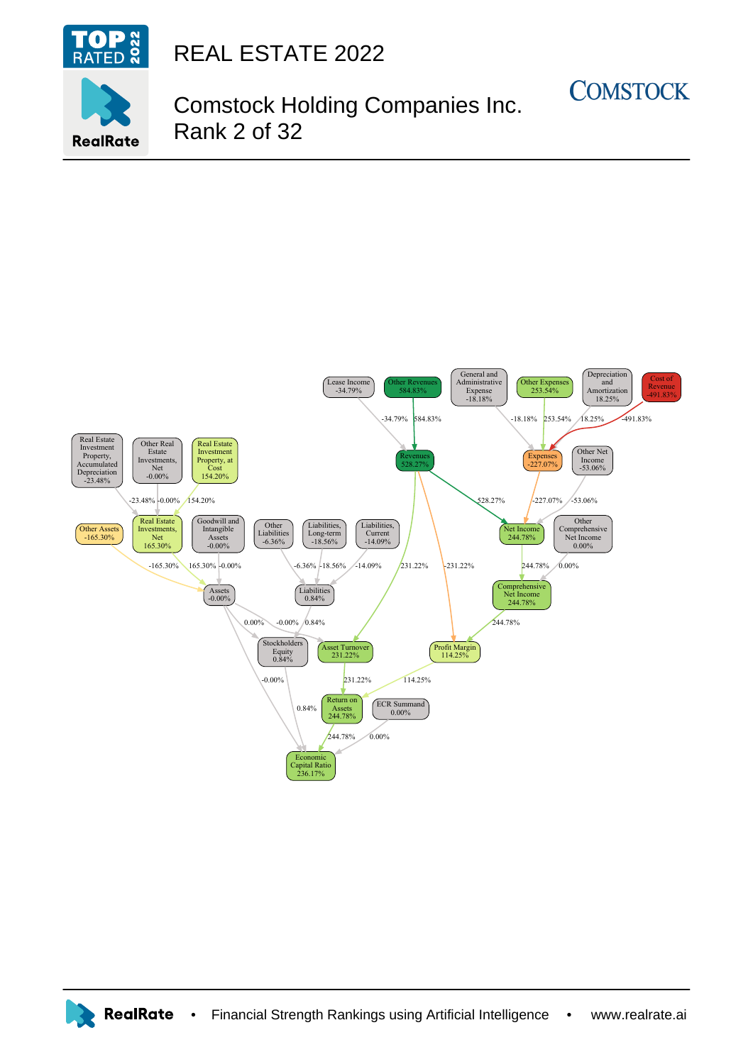

**RealRate** 

REAL ESTATE 2022

## Comstock Holding Companies Inc. Rank 2 of 32

**COMSTOCK**